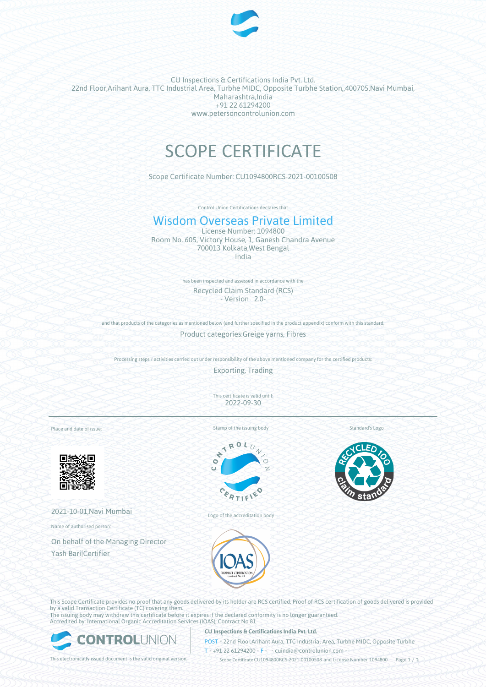

CU Inspections & Certifications India Pvt. Ltd. 22nd Floor,Arihant Aura, TTC Industrial Area, Turbhe MIDC, Opposite Turbhe Station,,400705,Navi Mumbai, Maharashtra,India +91 22 61294200 www.petersoncontrolunion.com

# SCOPE CERTIFICATE

Scope Certificate Number: CU1094800RCS-2021-00100508

Control Union Certifications declares that

## Wisdom Overseas Private Limited

License Number: 1094800 Room No. 605, Victory House, 1, Ganesh Chandra Avenue 700013 Kolkata,West Bengal India

> has been inspected and assessed in accordance with the Recycled Claim Standard (RCS) - Version 2.0-

and that products of the categories as mentioned below (and further specified in the product appendix) conform with this standard

Product categories:Greige yarns, Fibres

Processing steps / activities carried out under responsibility of the above mentioned company for the certified products:

Exporting, Trading

This certificate is valid until: 2022-09-30

Place and date of issue:



2021-10-01,Navi Mumbai

Name of authorised person:

On behalf of the Managing Director Yash Bari|Certifier



Stamp of the issuing body



Standard's Logo

Logo of the accreditation body



This Scope Certificate provides no proof that any goods delivered by its holder are RCS certified. Proof of RCS certification of goods delivered is provided by a valid Transaction Certificate (TC) covering them.

The issuing body may withdraw this certificate before it expires if the declared conformity is no longer guaranteed. Accredited by: International Organic Accreditation Services (IOAS); Contract No 81



### **CU Inspections & Certifications India Pvt. Ltd.**

**POST** • 22nd Floor,Arihant Aura, TTC Industrial Area, Turbhe MIDC, Opposite Turbhe  $T* + 91 22 61294200$  **F**  $\cdot$  cuindia @controlunion.com •

This electronically issued document is the valid original version. Scope Certificate CU1094800RCS-2021-00100508 and License Number 1094800 Page 1 / 3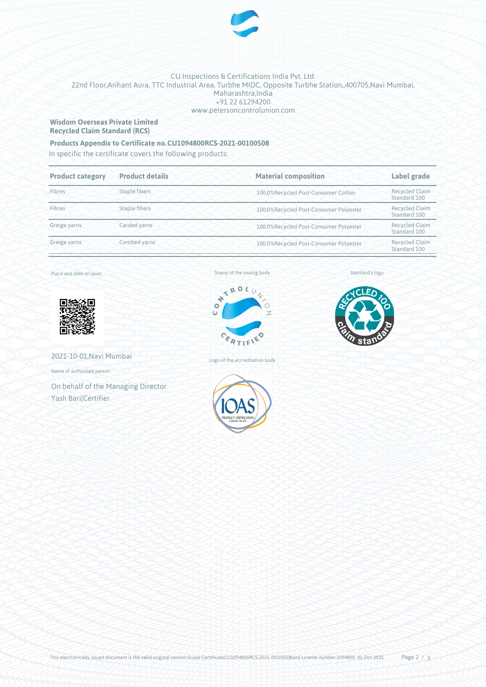

## CU Inspections & Certifications India Pvt. Ltd. 22nd Floor,Arihant Aura, TTC Industrial Area, Turbhe MIDC, Opposite Turbhe Station,,400705,Navi Mumbai, Maharashtra,India +91 22 61294200 www.petersoncontrolunion.com

## **Wisdom Overseas Private Limited Recycled Claim Standard (RCS)**

## **Products Appendix to Certificate no.CU1094800RCS-2021-00100508**

In specific the certificate covers the following products:

| <b>Product category</b> | <b>Product details</b> | <b>Material composition</b>            | Label grade                           |
|-------------------------|------------------------|----------------------------------------|---------------------------------------|
| Fibres                  | <b>Staple fibers</b>   | 100.0%Recycled Post-Consumer Cotton    | <b>Recycled Claim</b><br>Standard 100 |
| Fibres                  | Staple fibers          | 100.0%Recycled Post-Consumer Polyester | <b>Recycled Claim</b><br>Standard 100 |
| Greige yarns            | Carded yarns           | 100.0%Recycled Post-Consumer Polyester | <b>Recycled Claim</b><br>Standard 100 |
| Greige yarns            | Combed yarns           | 100.0%Recycled Post-Consumer Polyester | <b>Recycled Claim</b><br>Standard 100 |

Place and date of issue:



2021-10-01,Navi Mumbai

Name of authorised person:

On behalf of the Managing Director Yash Bari|Certifier

## Stamp of the issuing body



Logo of the accreditation body



Standard's logo